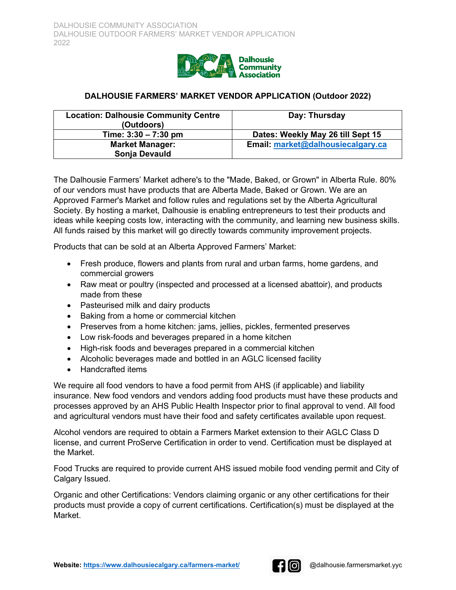

# **DALHOUSIE FARMERS' MARKET VENDOR APPLICATION (Outdoor 2022)**

| <b>Location: Dalhousie Community Centre</b><br>(Outdoors) | Day: Thursday                     |  |
|-----------------------------------------------------------|-----------------------------------|--|
| Time: $3:30 - 7:30$ pm                                    | Dates: Weekly May 26 till Sept 15 |  |
| <b>Market Manager:</b>                                    | Email: market@dalhousiecalgary.ca |  |
| Sonja Devauld                                             |                                   |  |

The Dalhousie Farmers' Market adhere's to the "Made, Baked, or Grown" in Alberta Rule. 80% of our vendors must have products that are Alberta Made, Baked or Grown. We are an Approved Farmer's Market and follow rules and regulations set by the Alberta Agricultural Society. By hosting a market, Dalhousie is enabling entrepreneurs to test their products and ideas while keeping costs low, interacting with the community, and learning new business skills. All funds raised by this market will go directly towards community improvement projects.

Products that can be sold at an Alberta Approved Farmers' Market:

- Fresh produce, flowers and plants from rural and urban farms, home gardens, and commercial growers
- Raw meat or poultry (inspected and processed at a licensed abattoir), and products made from these
- Pasteurised milk and dairy products
- Baking from a home or commercial kitchen
- Preserves from a home kitchen: jams, jellies, pickles, fermented preserves
- Low risk-foods and beverages prepared in a home kitchen
- High-risk foods and beverages prepared in a commercial kitchen
- Alcoholic beverages made and bottled in an AGLC licensed facility
- Handcrafted items

We require all food vendors to have a food permit from AHS (if applicable) and liability insurance. New food vendors and vendors adding food products must have these products and processes approved by an AHS Public Health Inspector prior to final approval to vend. All food and agricultural vendors must have their food and safety certificates available upon request.

Alcohol vendors are required to obtain a Farmers Market extension to their AGLC Class D license, and current ProServe Certification in order to vend. Certification must be displayed at the Market.

Food Trucks are required to provide current AHS issued mobile food vending permit and City of Calgary Issued.

Organic and other Certifications: Vendors claiming organic or any other certifications for their products must provide a copy of current certifications. Certification(s) must be displayed at the Market.

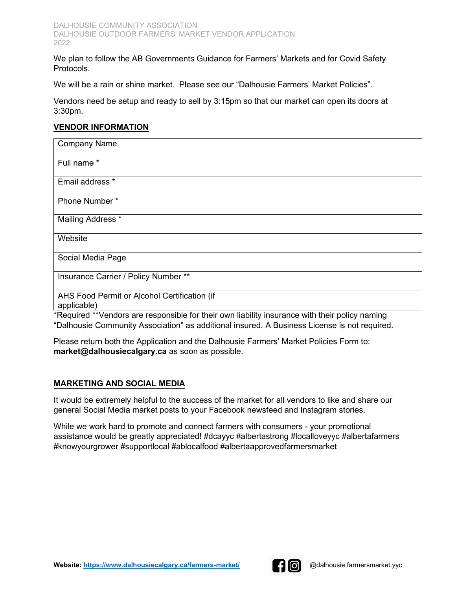We plan to follow the AB Governments Guidance for Farmers' Markets and for Covid Safety Protocols.

We will be a rain or shine market. Please see our "Dalhousie Farmers' Market Policies".

Vendors need be setup and ready to sell by 3:15pm so that our market can open its doors at 3:30pm.

#### **VENDOR INFORMATION**

| <b>Company Name</b>                                         |  |
|-------------------------------------------------------------|--|
| Full name *                                                 |  |
| Email address *                                             |  |
| Phone Number*                                               |  |
| Mailing Address *                                           |  |
| Website                                                     |  |
| Social Media Page                                           |  |
| Insurance Carrier / Policy Number **                        |  |
| AHS Food Permit or Alcohol Certification (if<br>applicable) |  |

\*Required \*\*Vendors are responsible for their own liability insurance with their policy naming "Dalhousie Community Association" as additional insured. A Business License is not required.

Please return both the Application and the Dalhousie Farmers' Market Policies Form to: **market@dalhousiecalgary.ca** as soon as possible.

### **MARKETING AND SOCIAL MEDIA**

It would be extremely helpful to the success of the market for all vendors to like and share our general Social Media market posts to your Facebook newsfeed and Instagram stories.

While we work hard to promote and connect farmers with consumers - your promotional assistance would be greatly appreciated! #dcayyc #albertastrong #localloveyyc #albertafarmers #knowyourgrower #supportlocal #ablocalfood #albertaapprovedfarmersmarket

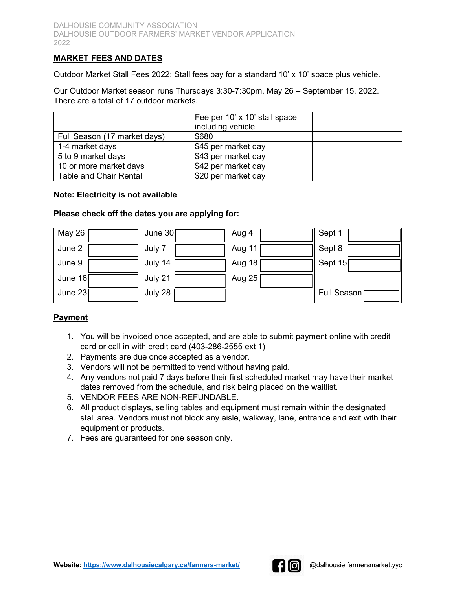## **MARKET FEES AND DATES**

Outdoor Market Stall Fees 2022: Stall fees pay for a standard 10' x 10' space plus vehicle.

Our Outdoor Market season runs Thursdays 3:30-7:30pm, May 26 – September 15, 2022. There are a total of 17 outdoor markets.

|                               | Fee per 10' x 10' stall space |  |
|-------------------------------|-------------------------------|--|
|                               | including vehicle             |  |
| Full Season (17 market days)  | \$680                         |  |
| 1-4 market days               | \$45 per market day           |  |
| 5 to 9 market days            | \$43 per market day           |  |
| 10 or more market days        | \$42 per market day           |  |
| <b>Table and Chair Rental</b> | \$20 per market day           |  |

#### **Note: Electricity is not available**

#### **Please check off the dates you are applying for:**

| May 26    | June $30$ | Aug 4  | Sept 1      |
|-----------|-----------|--------|-------------|
| June 2    | July 7    | Aug 11 | Sept 8      |
| June 9    | July 14   | Aug 18 | Sept 15     |
| June 16   | July 21   | Aug 25 |             |
| June $23$ | July 28   |        | Full Season |

### **Payment**

- 1. You will be invoiced once accepted, and are able to submit payment online with credit card or call in with credit card (403-286-2555 ext 1)
- 2. Payments are due once accepted as a vendor.
- 3. Vendors will not be permitted to vend without having paid.
- 4. Any vendors not paid 7 days before their first scheduled market may have their market dates removed from the schedule, and risk being placed on the waitlist.
- 5. VENDOR FEES ARE NON-REFUNDABLE.
- 6. All product displays, selling tables and equipment must remain within the designated stall area. Vendors must not block any aisle, walkway, lane, entrance and exit with their equipment or products.
- 7. Fees are guaranteed for one season only.